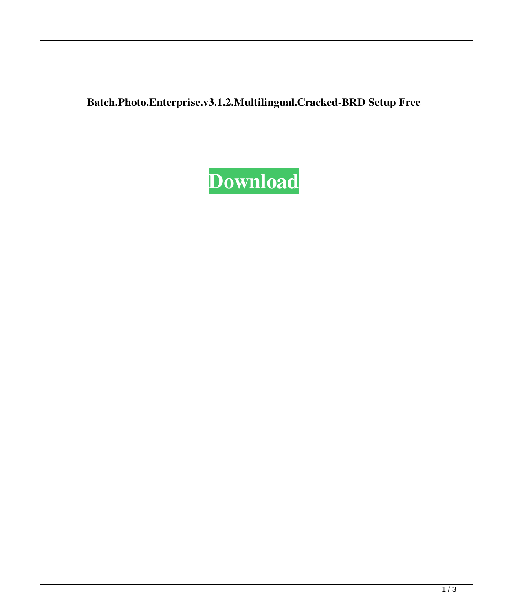**Batch.Photo.Enterprise.v3.1.2.Multilingual.Cracked-BRD Setup Free**

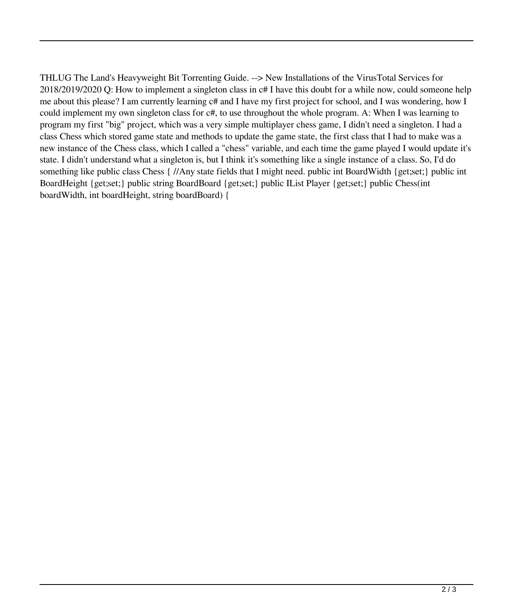THLUG The Land's Heavyweight Bit Torrenting Guide. --> New Installations of the VirusTotal Services for 2018/2019/2020 Q: How to implement a singleton class in c# I have this doubt for a while now, could someone help me about this please? I am currently learning c# and I have my first project for school, and I was wondering, how I could implement my own singleton class for  $c#$ , to use throughout the whole program. A: When I was learning to program my first "big" project, which was a very simple multiplayer chess game, I didn't need a singleton. I had a class Chess which stored game state and methods to update the game state, the first class that I had to make was a new instance of the Chess class, which I called a "chess" variable, and each time the game played I would update it's state. I didn't understand what a singleton is, but I think it's something like a single instance of a class. So, I'd do something like public class Chess { //Any state fields that I might need. public int BoardWidth {get;set;} public int BoardHeight {get;set;} public string BoardBoard {get;set;} public IList Player {get;set;} public Chess(int boardWidth, int boardHeight, string boardBoard) {